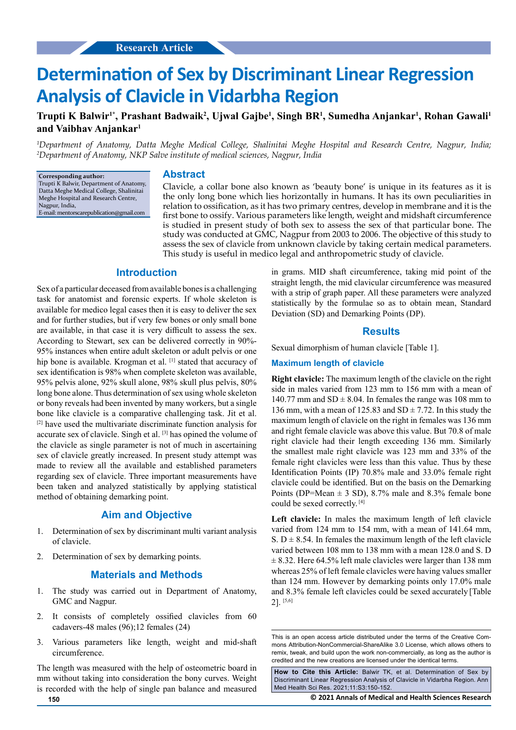# **Determination of Sex by Discriminant Linear Regression Analysis of Clavicle in Vidarbha Region**

# **Trupti K Balwir1\*, Prashant Badwaik2 , Ujwal Gajbe1 , Singh BR1 , Sumedha Anjankar1 , Rohan Gawali1 and Vaibhav Anjankar1**

*1 Department of Anatomy, Datta Meghe Medical College, Shalinitai Meghe Hospital and Research Centre, Nagpur, India; 2 Department of Anatomy, NKP Salve institute of medical sciences, Nagpur, India*

**Corresponding author:** Trupti K Balwir, Department of Anatomy, Datta Meghe Medical College, Shalinitai Meghe Hospital and Research Centre, Nagpur, India, E-mail: [mentorscarepublication@gmail.com](mailto:mentorscarepublication@gmail.com)

#### **Abstract**

Clavicle, a collar bone also known as 'beauty bone' is unique in its features as it is the only long bone which lies horizontally in humans. It has its own peculiarities in relation to ossification, as it has two primary centres, develop in membrane and it is the first bone to ossify. Various parameters like length, weight and midshaft circumference is studied in present study of both sex to assess the sex of that particular bone. The study was conducted at GMC, Nagpur from 2003 to 2006. The objective of this study to assess the sex of clavicle from unknown clavicle by taking certain medical parameters. This study is useful in medico legal and anthropometric study of clavicle.

## **Introduction**

Sex of a particular deceased from available bones is a challenging task for anatomist and forensic experts. If whole skeleton is available for medico legal cases then it is easy to deliver the sex and for further studies, but if very few bones or only small bone are available, in that case it is very difficult to assess the sex. According to Stewart, sex can be delivered correctly in 90%- 95% instances when entire adult skeleton or adult pelvis or one hip bone is available. Krogman et al. [1] stated that accuracy of sex identification is 98% when complete skeleton was available, 95% pelvis alone, 92% skull alone, 98% skull plus pelvis, 80% long bone alone. Thus determination of sex using whole skeleton or bony reveals had been invented by many workers, but a single bone like clavicle is a comparative challenging task. Jit et al. [2] have used the multivariate discriminate function analysis for accurate sex of clavicle. Singh et al. [3] has opined the volume of the clavicle as single parameter is not of much in ascertaining sex of clavicle greatly increased. In present study attempt was made to review all the available and established parameters regarding sex of clavicle. Three important measurements have been taken and analyzed statistically by applying statistical method of obtaining demarking point.

# **Aim and Objective**

- 1. Determination of sex by discriminant multi variant analysis of clavicle.
- 2. Determination of sex by demarking points.

## **Materials and Methods**

- 1. The study was carried out in Department of Anatomy, GMC and Nagpur.
- 2. It consists of completely ossified clavicles from 60 cadavers-48 males (96);12 females (24)
- 3. Various parameters like length, weight and mid-shaft circumference.

The length was measured with the help of osteometric board in mm without taking into consideration the bony curves. Weight is recorded with the help of single pan balance and measured

in grams. MID shaft circumference, taking mid point of the straight length, the mid clavicular circumference was measured with a strip of graph paper. All these parameters were analyzed statistically by the formulae so as to obtain mean, Standard Deviation (SD) and Demarking Points (DP).

#### **Results**

Sexual dimorphism of human clavicle [Table 1].

#### **Maximum length of clavicle**

**Right clavicle:** The maximum length of the clavicle on the right side in males varied from 123 mm to 156 mm with a mean of 140.77 mm and  $SD \pm 8.04$ . In females the range was 108 mm to 136 mm, with a mean of 125.83 and  $SD \pm 7.72$ . In this study the maximum length of clavicle on the right in females was 136 mm and right female clavicle was above this value. But 70.8 of male right clavicle had their length exceeding 136 mm. Similarly the smallest male right clavicle was 123 mm and 33% of the female right clavicles were less than this value. Thus by these Identification Points (IP) 70.8% male and 33.0% female right clavicle could be identified. But on the basis on the Demarking Points (DP=Mean  $\pm$  3 SD), 8.7% male and 8.3% female bone could be sexed correctly. [4]

**Left clavicle:** In males the maximum length of left clavicle varied from 124 mm to 154 mm, with a mean of 141.64 mm, S.  $D \pm 8.54$ . In females the maximum length of the left clavicle varied between 108 mm to 138 mm with a mean 128.0 and S. D  $\pm$  8.32. Here 64.5% left male clavicles were larger than 138 mm whereas 25% of left female clavicles were having values smaller than 124 mm. However by demarking points only 17.0% male and 8.3% female left clavicles could be sexed accurately [Table 2]. [5,6]

**How to Cite this Article:** Balwir TK, et al. Determination of Sex by Discriminant Linear Regression Analysis of Clavicle in Vidarbha Region. Ann Med Health Sci Res. 2021;11:S3:150-152.

**150 © 2021 Annals of Medical and Health Sciences Research** 

This is an open access article distributed under the terms of the Creative Commons Attribution-NonCommercial-ShareAlike 3.0 License, which allows others to remix, tweak, and build upon the work non‑commercially, as long as the author is credited and the new creations are licensed under the identical terms.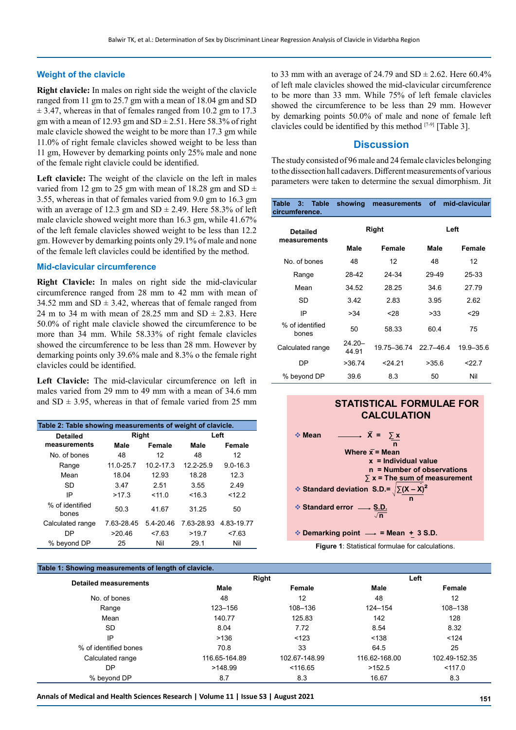### **Weight of the clavicle**

**Right clavicle:** In males on right side the weight of the clavicle ranged from 11 gm to 25.7 gm with a mean of 18.04 gm and SD  $\pm$  3.47, whereas in that of females ranged from 10.2 gm to 17.3 gm with a mean of 12.93 gm and  $SD \pm 2.51$ . Here 58.3% of right male clavicle showed the weight to be more than 17.3 gm while 11.0% of right female clavicles showed weight to be less than 11 gm, However by demarking points only 25% male and none of the female right clavicle could be identified.

**Left clavicle:** The weight of the clavicle on the left in males varied from 12 gm to 25 gm with mean of 18.28 gm and SD  $\pm$ 3.55, whereas in that of females varied from 9.0 gm to 16.3 gm with an average of 12.3 gm and  $SD \pm 2.49$ . Here 58.3% of left male clavicle showed weight more than 16.3 gm, while 41.67% of the left female clavicles showed weight to be less than 12.2 gm. However by demarking points only 29.1% of male and none of the female left clavicles could be identified by the method.

#### **Mid-clavicular circumference**

**Right Clavicle:** In males on right side the mid-clavicular circumference ranged from 28 mm to 42 mm with mean of 34.52 mm and  $SD \pm 3.42$ , whereas that of female ranged from 24 m to 34 m with mean of 28.25 mm and  $SD \pm 2.83$ . Here 50.0% of right male clavicle showed the circumference to be more than 34 mm. While 58.33% of right female clavicles showed the circumference to be less than 28 mm. However by demarking points only 39.6% male and 8.3% o the female right clavicles could be identified.

**Left Clavicle:** The mid-clavicular circumference on left in males varied from 29 mm to 49 mm with a mean of 34.6 mm and  $SD \pm 3.95$ , whereas in that of female varied from 25 mm

| Table 2: Table showing measurements of weight of clavicle. |                |           |            |              |  |  |
|------------------------------------------------------------|----------------|-----------|------------|--------------|--|--|
| <b>Detailed</b>                                            | Right          |           | Left       |              |  |  |
| measurements                                               | Male<br>Female |           | Male       | Female       |  |  |
| No of bones                                                | 48             | 12        | 48         | 12           |  |  |
| Range                                                      | $11.0 - 25.7$  | 10.2-17.3 | 12.2-25.9  | $9.0 - 16.3$ |  |  |
| Mean                                                       | 18.04          | 12.93     | 18.28      | 12.3         |  |  |
| <b>SD</b>                                                  | 3.47           | 2.51      | 3.55       | 2.49         |  |  |
| IP                                                         | >17.3          | < 110     | < 16.3     | < 12.2       |  |  |
| % of identified<br>bones                                   | 50.3           | 41.67     | 31.25      | 50           |  |  |
| Calculated range                                           | 7.63-28.45     | 5.4-20.46 | 7.63-28.93 | 4.83-19.77   |  |  |
| DP                                                         | >20.46         | 27.63     | >19.7      | 27.63        |  |  |
| % beyond DP                                                | 25             | Nil       | 29.1       | Nil          |  |  |

#### **Table 1: Showing measurements of length of clavicle.**

to 33 mm with an average of 24.79 and  $SD \pm 2.62$ . Here 60.4% of left male clavicles showed the mid-clavicular circumference to be more than 33 mm. While 75% of left female clavicles showed the circumference to be less than 29 mm. However by demarking points 50.0% of male and none of female left clavicles could be identified by this method [7-9] [Table 3].

## **Discussion**

The study consisted of 96 male and 24 female clavicles belonging to the dissection hall cadavers. Different measurements of various parameters were taken to determine the sexual dimorphism. Jit

| <b>Table</b><br>Table<br>$3 -$<br>circumference. | showing            | measurements | of            | mid-clavicular |  |
|--------------------------------------------------|--------------------|--------------|---------------|----------------|--|
| <b>Detailed</b><br>measurements                  | Right              |              |               | Left           |  |
|                                                  | Male               | Female       | Male          | Female         |  |
| No. of bones                                     | 48                 | 12           | 48            | 12             |  |
| Range                                            | 28-42              | 24-34        | 29-49         | 25-33          |  |
| Mean                                             | 34.52              | 28.25        | 34.6          | 27.79          |  |
| SD                                               | 3.42               | 2.83         | 3.95          | 2.62           |  |
| IP                                               | >34                | $28$         | >33           | 29             |  |
| % of identified<br>bones                         | 50                 | 58.33        | 60.4          | 75             |  |
| Calculated range                                 | $24.20 -$<br>44.91 | 19.75-36.74  | $22.7 - 46.4$ | 19.9-35.6      |  |
| DP                                               | >36.74             | 24.21        | >35.6         | 22.7           |  |
| % beyond DP                                      | 39.6               | 8.3          | 50            | Nil            |  |

# **STATISTICAL FORMULAE FOR CALCULATION**

 $\div$  **Demarking point**  $\longrightarrow$  **= Mean + 3 S.D.** 

**Figure 1**: Statistical formulae for calculations.

| able 1. Showing measurements or length or clavicle. |               |               |               |               |  |  |
|-----------------------------------------------------|---------------|---------------|---------------|---------------|--|--|
| <b>Detailed measurements</b>                        | Right         |               | Left          |               |  |  |
|                                                     | Male          | Female        | Male          | Female        |  |  |
| No. of bones                                        | 48            | 12            | 48            | 12            |  |  |
| Range                                               | 123-156       | 108-136       | 124-154       | 108-138       |  |  |
| Mean                                                | 140.77        | 125.83        | 142           | 128           |  |  |
| SD.                                                 | 8.04          | 7.72          | 8.54          | 8.32          |  |  |
| IP                                                  | >136          | < 123         | < 138         | < 124         |  |  |
| % of identified bones                               | 70.8          | 33            | 64.5          | 25            |  |  |
| Calculated range                                    | 116.65-164.89 | 102.67-148.99 | 116.62-168.00 | 102.49-152.35 |  |  |
| DP                                                  | >148.99       | < 116.65      | >152.5        | < 117.0       |  |  |
| % beyond DP                                         | 8.7           | 8.3           | 16.67         | 8.3           |  |  |